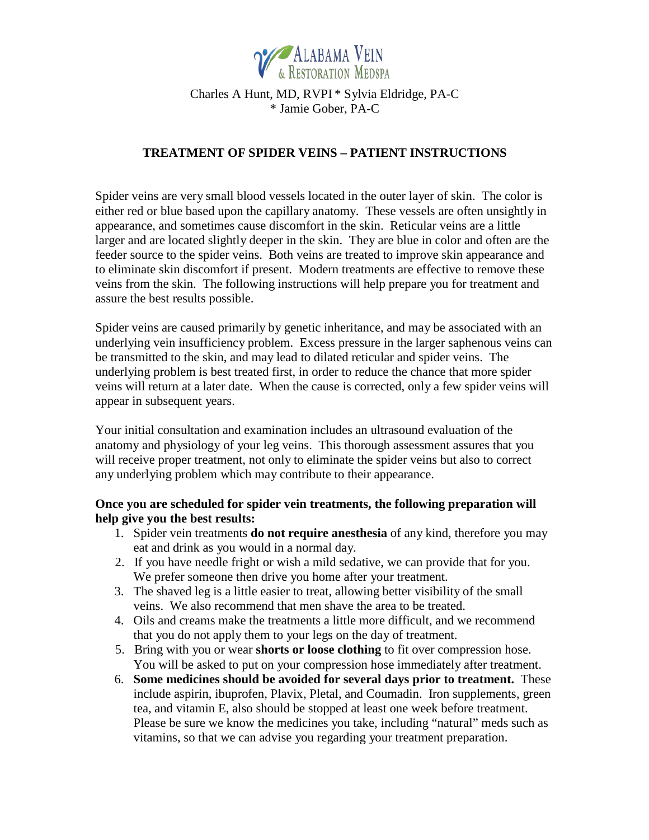

# Charles A Hunt, MD, RVPI \* Sylvia Eldridge, PA-C \* Jamie Gober, PA-C

## **TREATMENT OF SPIDER VEINS – PATIENT INSTRUCTIONS**

Spider veins are very small blood vessels located in the outer layer of skin. The color is either red or blue based upon the capillary anatomy. These vessels are often unsightly in appearance, and sometimes cause discomfort in the skin. Reticular veins are a little larger and are located slightly deeper in the skin. They are blue in color and often are the feeder source to the spider veins. Both veins are treated to improve skin appearance and to eliminate skin discomfort if present. Modern treatments are effective to remove these veins from the skin. The following instructions will help prepare you for treatment and assure the best results possible.

Spider veins are caused primarily by genetic inheritance, and may be associated with an underlying vein insufficiency problem. Excess pressure in the larger saphenous veins can be transmitted to the skin, and may lead to dilated reticular and spider veins. The underlying problem is best treated first, in order to reduce the chance that more spider veins will return at a later date. When the cause is corrected, only a few spider veins will appear in subsequent years.

Your initial consultation and examination includes an ultrasound evaluation of the anatomy and physiology of your leg veins. This thorough assessment assures that you will receive proper treatment, not only to eliminate the spider veins but also to correct any underlying problem which may contribute to their appearance.

## **Once you are scheduled for spider vein treatments, the following preparation will help give you the best results:**

- 1. Spider vein treatments **do not require anesthesia** of any kind, therefore you may eat and drink as you would in a normal day.
- 2. If you have needle fright or wish a mild sedative, we can provide that for you. We prefer someone then drive you home after your treatment.
- 3. The shaved leg is a little easier to treat, allowing better visibility of the small veins. We also recommend that men shave the area to be treated.
- 4. Oils and creams make the treatments a little more difficult, and we recommend that you do not apply them to your legs on the day of treatment.
- 5. Bring with you or wear **shorts or loose clothing** to fit over compression hose. You will be asked to put on your compression hose immediately after treatment.
- 6. **Some medicines should be avoided for several days prior to treatment.** These include aspirin, ibuprofen, Plavix, Pletal, and Coumadin. Iron supplements, green tea, and vitamin E, also should be stopped at least one week before treatment. Please be sure we know the medicines you take, including "natural" meds such as vitamins, so that we can advise you regarding your treatment preparation.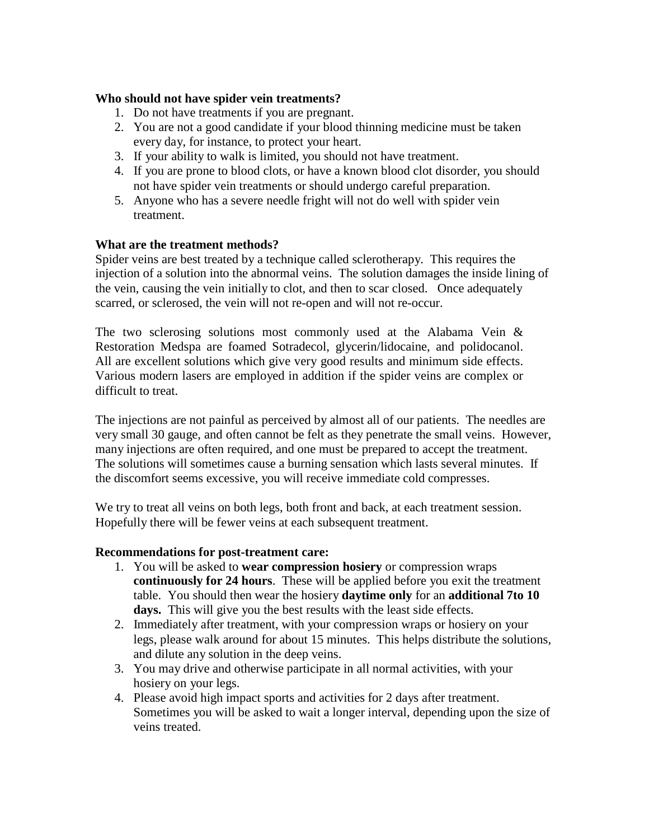### **Who should not have spider vein treatments?**

- 1. Do not have treatments if you are pregnant.
- 2. You are not a good candidate if your blood thinning medicine must be taken every day, for instance, to protect your heart.
- 3. If your ability to walk is limited, you should not have treatment.
- 4. If you are prone to blood clots, or have a known blood clot disorder, you should not have spider vein treatments or should undergo careful preparation.
- 5. Anyone who has a severe needle fright will not do well with spider vein treatment.

## **What are the treatment methods?**

Spider veins are best treated by a technique called sclerotherapy. This requires the injection of a solution into the abnormal veins. The solution damages the inside lining of the vein, causing the vein initially to clot, and then to scar closed. Once adequately scarred, or sclerosed, the vein will not re-open and will not re-occur.

The two sclerosing solutions most commonly used at the Alabama Vein & Restoration Medspa are foamed Sotradecol, glycerin/lidocaine, and polidocanol. All are excellent solutions which give very good results and minimum side effects. Various modern lasers are employed in addition if the spider veins are complex or difficult to treat.

The injections are not painful as perceived by almost all of our patients. The needles are very small 30 gauge, and often cannot be felt as they penetrate the small veins. However, many injections are often required, and one must be prepared to accept the treatment. The solutions will sometimes cause a burning sensation which lasts several minutes. If the discomfort seems excessive, you will receive immediate cold compresses.

We try to treat all veins on both legs, both front and back, at each treatment session. Hopefully there will be fewer veins at each subsequent treatment.

### **Recommendations for post-treatment care:**

- 1. You will be asked to **wear compression hosiery** or compression wraps **continuously for 24 hours**. These will be applied before you exit the treatment table. You should then wear the hosiery **daytime only** for an **additional 7to 10 days.** This will give you the best results with the least side effects.
- 2. Immediately after treatment, with your compression wraps or hosiery on your legs, please walk around for about 15 minutes. This helps distribute the solutions, and dilute any solution in the deep veins.
- 3. You may drive and otherwise participate in all normal activities, with your hosiery on your legs.
- 4. Please avoid high impact sports and activities for 2 days after treatment. Sometimes you will be asked to wait a longer interval, depending upon the size of veins treated.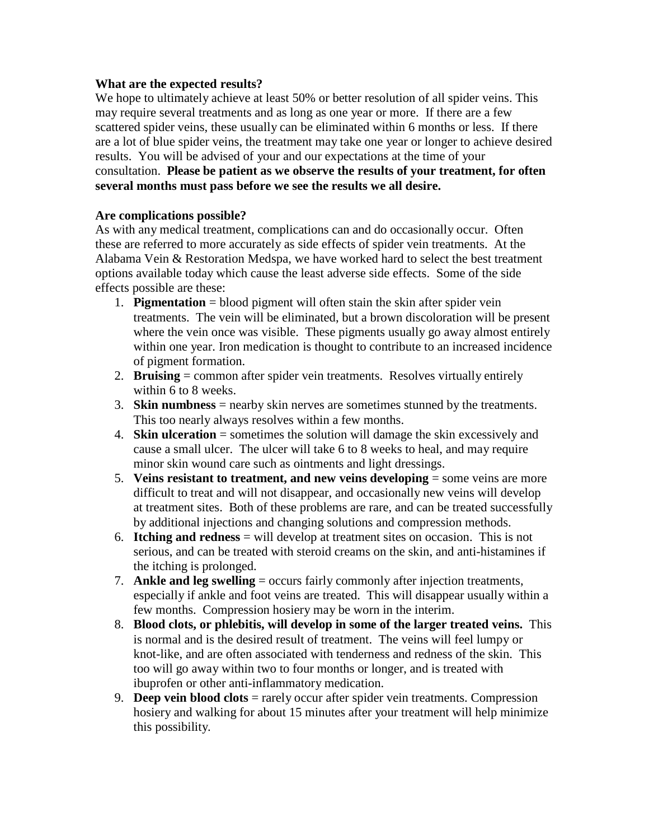### **What are the expected results?**

We hope to ultimately achieve at least 50% or better resolution of all spider veins. This may require several treatments and as long as one year or more. If there are a few scattered spider veins, these usually can be eliminated within 6 months or less. If there are a lot of blue spider veins, the treatment may take one year or longer to achieve desired results. You will be advised of your and our expectations at the time of your consultation. **Please be patient as we observe the results of your treatment, for often several months must pass before we see the results we all desire.** 

### **Are complications possible?**

As with any medical treatment, complications can and do occasionally occur. Often these are referred to more accurately as side effects of spider vein treatments. At the Alabama Vein & Restoration Medspa, we have worked hard to select the best treatment options available today which cause the least adverse side effects. Some of the side effects possible are these:

- 1. **Pigmentation** = blood pigment will often stain the skin after spider vein treatments. The vein will be eliminated, but a brown discoloration will be present where the vein once was visible. These pigments usually go away almost entirely within one year. Iron medication is thought to contribute to an increased incidence of pigment formation.
- 2. **Bruising** = common after spider vein treatments. Resolves virtually entirely within 6 to 8 weeks.
- 3. **Skin numbness** = nearby skin nerves are sometimes stunned by the treatments. This too nearly always resolves within a few months.
- 4. **Skin ulceration** = sometimes the solution will damage the skin excessively and cause a small ulcer. The ulcer will take 6 to 8 weeks to heal, and may require minor skin wound care such as ointments and light dressings.
- 5. **Veins resistant to treatment, and new veins developing** = some veins are more difficult to treat and will not disappear, and occasionally new veins will develop at treatment sites. Both of these problems are rare, and can be treated successfully by additional injections and changing solutions and compression methods.
- 6. **Itching and redness** = will develop at treatment sites on occasion. This is not serious, and can be treated with steroid creams on the skin, and anti-histamines if the itching is prolonged.
- 7. **Ankle and leg swelling** = occurs fairly commonly after injection treatments, especially if ankle and foot veins are treated. This will disappear usually within a few months. Compression hosiery may be worn in the interim.
- 8. **Blood clots, or phlebitis, will develop in some of the larger treated veins.** This is normal and is the desired result of treatment. The veins will feel lumpy or knot-like, and are often associated with tenderness and redness of the skin. This too will go away within two to four months or longer, and is treated with ibuprofen or other anti-inflammatory medication.
- 9. **Deep vein blood clots** = rarely occur after spider vein treatments. Compression hosiery and walking for about 15 minutes after your treatment will help minimize this possibility.